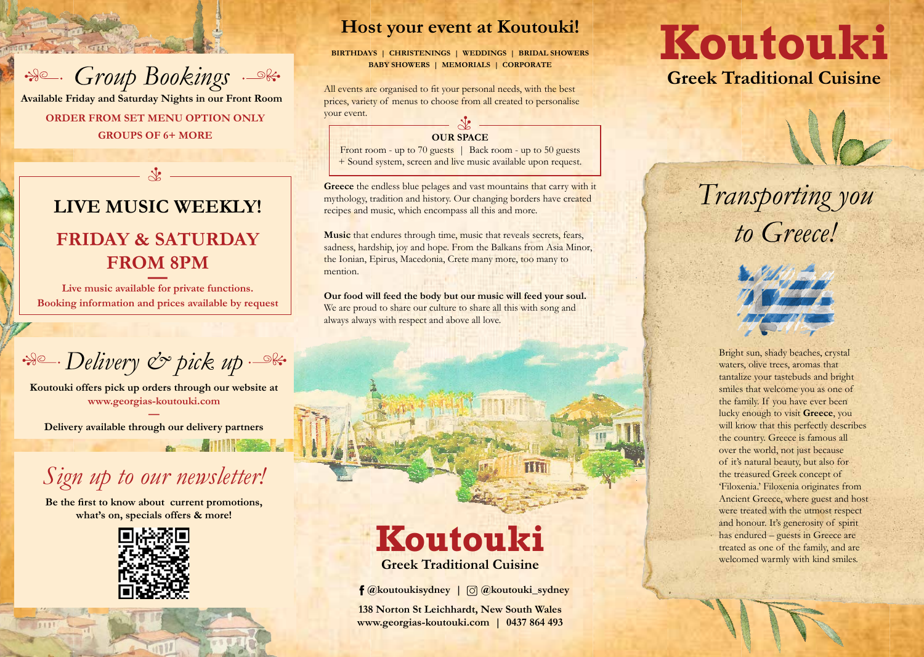Bright sun, shady beaches, crystal waters, olive trees, aromas that tantalize your tastebuds and bright smiles that welcome you as one of the family. If you have ever been lucky enough to visit **Greece**, you will know that this perfectly describes the country. Greece is famous all over the world, not just because of it's natural beauty, but also for the treasured Greek concept of 'Filoxenia.' Filoxenia originates from Ancient Greece, where guest and host were treated with the utmost respect and honour. It's generosity of spirit has endured – guests in Greece are treated as one of the family, and are welcomed warmly with kind smiles.

All events are organised to fit your personal needs, with the best prices, variety of menus to choose from all created to personalise your event.  $\lambda^{\prime}$ 

**Greece** the endless blue pelages and vast mountains that carry with it mythology, tradition and history. Our changing borders have created recipes and music, which encompass all this and more.

### **Host your event at Koutouki!**

**BIRTHDAYS | CHRISTENINGS | WEDDINGS | BRIDAL SHOWERS BABY SHOWERS | MEMORIALS | CORPORATE**

Live music available for private functions. **Booking information and prices available by request**

 $\mathscr{B}_{\mathscr{D}}$ . Delivery  $\mathscr{C}_{\mathscr{D}}$  pick up  $\mathscr{B}_{\mathscr{D}}$ 



Front room - up to 70 guests | Back room - up to 50 guests + Sound system, screen and live music available upon request.

**Music** that endures through time, music that reveals secrets, fears, sadness, hardship, joy and hope. From the Balkans from Asia Minor, the Ionian, Epirus, Macedonia, Crete many more, too many to mention.

**Our food will feed the body but our music will feed your soul.**  We are proud to share our culture to share all this with song and always always with respect and above all love.

# **LIVE MUSIC WEEKLY! FRIDAY & SATURDAY FROM 8PM**

*Transporting you*

*to Greece!* 

# **Greek Traditional Cuisine Koutouki**

## **Greek Traditional Cuisine Koutouki**

**f** @koutoukisydney |  $\textcircled{c}$  @koutouki\_sydney

**138 Norton St Leichhardt, New South Wales www.georgias-koutouki.com | 0437 864 493**





**ORDER FROM SET MENU OPTION ONLY GROUPS OF 6+ MORE Available Friday and Saturday Nights in our Front Room**

**Koutouki offers pick up orders through our website at www.georgias-koutouki.com**

**— Delivery available through our delivery partners**

**ATTILIANA AL** 

# *Sign up to our newsletter!*

**Be the first to know about current promotions, what's on, specials offers & more!**